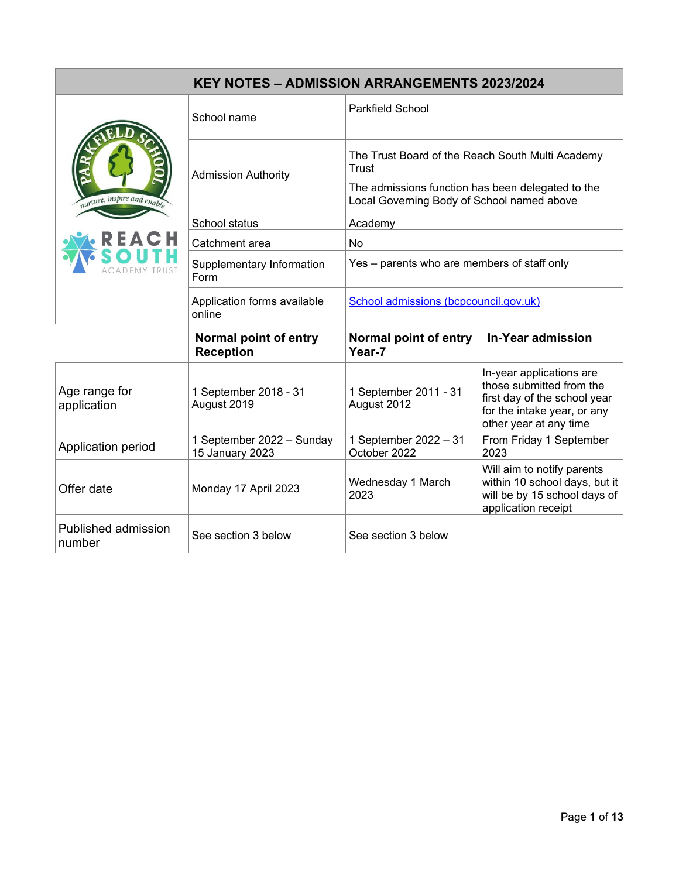| <b>KEY NOTES - ADMISSION ARRANGEMENTS 2023/2024</b> |                                              |                                                                                                                                                              |                                                                                                                                               |  |  |
|-----------------------------------------------------|----------------------------------------------|--------------------------------------------------------------------------------------------------------------------------------------------------------------|-----------------------------------------------------------------------------------------------------------------------------------------------|--|--|
| nurture, inspire and enable                         | School name                                  | <b>Parkfield School</b>                                                                                                                                      |                                                                                                                                               |  |  |
|                                                     | <b>Admission Authority</b>                   | The Trust Board of the Reach South Multi Academy<br>Trust<br>The admissions function has been delegated to the<br>Local Governing Body of School named above |                                                                                                                                               |  |  |
|                                                     | School status                                | Academy                                                                                                                                                      |                                                                                                                                               |  |  |
|                                                     | Catchment area                               | <b>No</b>                                                                                                                                                    |                                                                                                                                               |  |  |
|                                                     | Supplementary Information<br>Form            | Yes - parents who are members of staff only                                                                                                                  |                                                                                                                                               |  |  |
|                                                     | Application forms available<br>online        | School admissions (bcpcouncil.gov.uk)                                                                                                                        |                                                                                                                                               |  |  |
|                                                     | Normal point of entry<br><b>Reception</b>    | Normal point of entry<br>Year-7                                                                                                                              | <b>In-Year admission</b>                                                                                                                      |  |  |
| Age range for<br>application                        | 1 September 2018 - 31<br>August 2019         | 1 September 2011 - 31<br>August 2012                                                                                                                         | In-year applications are<br>those submitted from the<br>first day of the school year<br>for the intake year, or any<br>other year at any time |  |  |
| Application period                                  | 1 September 2022 - Sunday<br>15 January 2023 | 1 September 2022 - 31<br>October 2022                                                                                                                        | From Friday 1 September<br>2023                                                                                                               |  |  |
| Offer date                                          | Monday 17 April 2023                         | Wednesday 1 March<br>2023                                                                                                                                    | Will aim to notify parents<br>within 10 school days, but it<br>will be by 15 school days of<br>application receipt                            |  |  |
| Published admission<br>number                       | See section 3 below                          | See section 3 below                                                                                                                                          |                                                                                                                                               |  |  |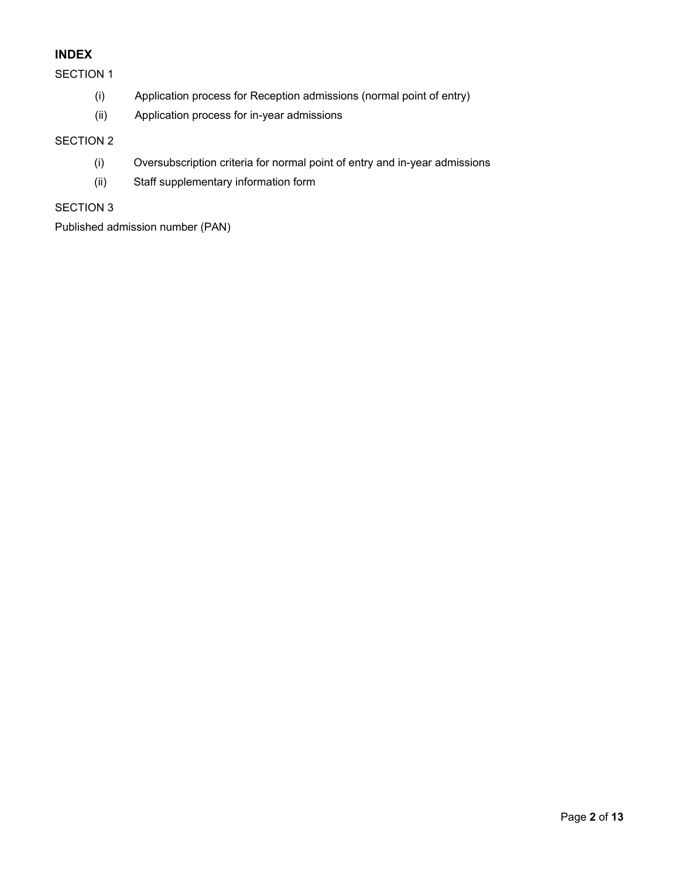## **INDEX**

#### SECTION 1

- (i) Application process for Reception admissions (normal point of entry)
- (ii) Application process for in-year admissions

## SECTION 2

- (i) Oversubscription criteria for normal point of entry and in-year admissions
- (ii) Staff supplementary information form

## SECTION 3

Published admission number (PAN)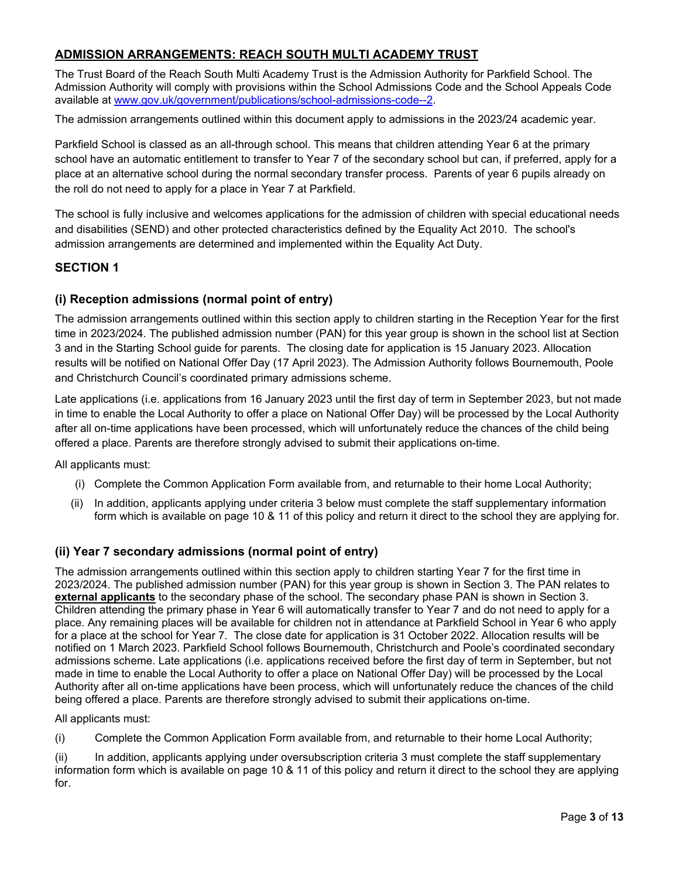## **ADMISSION ARRANGEMENTS: REACH SOUTH MULTI ACADEMY TRUST**

The Trust Board of the Reach South Multi Academy Trust is the Admission Authority for Parkfield School. The Admission Authority will comply with provisions within the School Admissions Code and the School Appeals Code available at [www.gov.uk/government/publications/school-admissions-code--2.](http://www.gov.uk/government/publications/school-admissions-code--2)

The admission arrangements outlined within this document apply to admissions in the 2023/24 academic year.

Parkfield School is classed as an all-through school. This means that children attending Year 6 at the primary school have an automatic entitlement to transfer to Year 7 of the secondary school but can, if preferred, apply for a place at an alternative school during the normal secondary transfer process. Parents of year 6 pupils already on the roll do not need to apply for a place in Year 7 at Parkfield.

The school is fully inclusive and welcomes applications for the admission of children with special educational needs and disabilities (SEND) and other protected characteristics defined by the Equality Act 2010. The school's admission arrangements are determined and implemented within the Equality Act Duty.

## **SECTION 1**

#### **(i) Reception admissions (normal point of entry)**

The admission arrangements outlined within this section apply to children starting in the Reception Year for the first time in 2023/2024. The published admission number (PAN) for this year group is shown in the school list at Section 3 and in the Starting School guide for parents. The closing date for application is 15 January 2023. Allocation results will be notified on National Offer Day (17 April 2023). The Admission Authority follows Bournemouth, Poole and Christchurch Council's coordinated primary admissions scheme.

Late applications (i.e. applications from 16 January 2023 until the first day of term in September 2023, but not made in time to enable the Local Authority to offer a place on National Offer Day) will be processed by the Local Authority after all on-time applications have been processed, which will unfortunately reduce the chances of the child being offered a place. Parents are therefore strongly advised to submit their applications on-time.

All applicants must:

- (i) Complete the Common Application Form available from, and returnable to their home Local Authority;
- (ii) In addition, applicants applying under criteria 3 below must complete the staff supplementary information form which is available on page 10 & 11 of this policy and return it direct to the school they are applying for.

## **(ii) Year 7 secondary admissions (normal point of entry)**

The admission arrangements outlined within this section apply to children starting Year 7 for the first time in 2023/2024. The published admission number (PAN) for this year group is shown in Section 3. The PAN relates to **external applicants** to the secondary phase of the school. The secondary phase PAN is shown in Section 3. Children attending the primary phase in Year 6 will automatically transfer to Year 7 and do not need to apply for a place. Any remaining places will be available for children not in attendance at Parkfield School in Year 6 who apply for a place at the school for Year 7. The close date for application is 31 October 2022. Allocation results will be notified on 1 March 2023. Parkfield School follows Bournemouth, Christchurch and Poole's coordinated secondary admissions scheme. Late applications (i.e. applications received before the first day of term in September, but not made in time to enable the Local Authority to offer a place on National Offer Day) will be processed by the Local Authority after all on-time applications have been process, which will unfortunately reduce the chances of the child being offered a place. Parents are therefore strongly advised to submit their applications on-time.

All applicants must:

(i) Complete the Common Application Form available from, and returnable to their home Local Authority;

(ii) In addition, applicants applying under oversubscription criteria 3 must complete the staff supplementary information form which is available on page 10 & 11 of this policy and return it direct to the school they are applying for.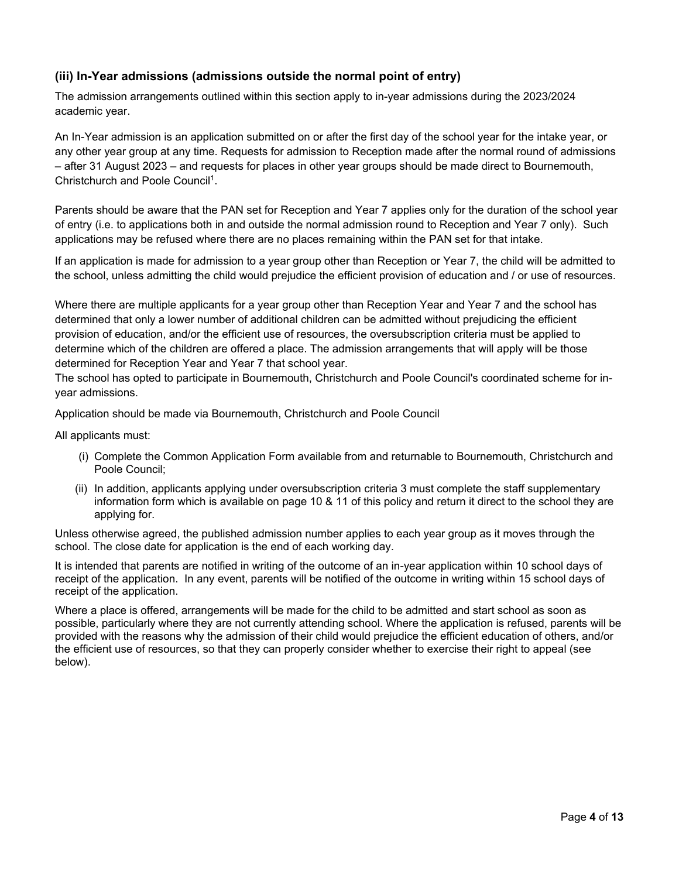## **(iii) In-Year admissions (admissions outside the normal point of entry)**

The admission arrangements outlined within this section apply to in-year admissions during the 2023/2024 academic year.

An In-Year admission is an application submitted on or after the first day of the school year for the intake year, or any other year group at any time. Requests for admission to Reception made after the normal round of admissions – after 31 August 2023 – and requests for places in other year groups should be made direct to Bournemouth, Christchurch and Poole Council<sup>1</sup>.

Parents should be aware that the PAN set for Reception and Year 7 applies only for the duration of the school year of entry (i.e. to applications both in and outside the normal admission round to Reception and Year 7 only). Such applications may be refused where there are no places remaining within the PAN set for that intake.

If an application is made for admission to a year group other than Reception or Year 7, the child will be admitted to the school, unless admitting the child would prejudice the efficient provision of education and / or use of resources.

Where there are multiple applicants for a year group other than Reception Year and Year 7 and the school has determined that only a lower number of additional children can be admitted without prejudicing the efficient provision of education, and/or the efficient use of resources, the oversubscription criteria must be applied to determine which of the children are offered a place. The admission arrangements that will apply will be those determined for Reception Year and Year 7 that school year.

The school has opted to participate in Bournemouth, Christchurch and Poole Council's coordinated scheme for inyear admissions.

Application should be made via Bournemouth, Christchurch and Poole Council

All applicants must:

- (i) Complete the Common Application Form available from and returnable to Bournemouth, Christchurch and Poole Council;
- (ii) In addition, applicants applying under oversubscription criteria 3 must complete the staff supplementary information form which is available on page 10 & 11 of this policy and return it direct to the school they are applying for.

Unless otherwise agreed, the published admission number applies to each year group as it moves through the school. The close date for application is the end of each working day.

It is intended that parents are notified in writing of the outcome of an in-year application within 10 school days of receipt of the application. In any event, parents will be notified of the outcome in writing within 15 school days of receipt of the application.

Where a place is offered, arrangements will be made for the child to be admitted and start school as soon as possible, particularly where they are not currently attending school. Where the application is refused, parents will be provided with the reasons why the admission of their child would prejudice the efficient education of others, and/or the efficient use of resources, so that they can properly consider whether to exercise their right to appeal (see below).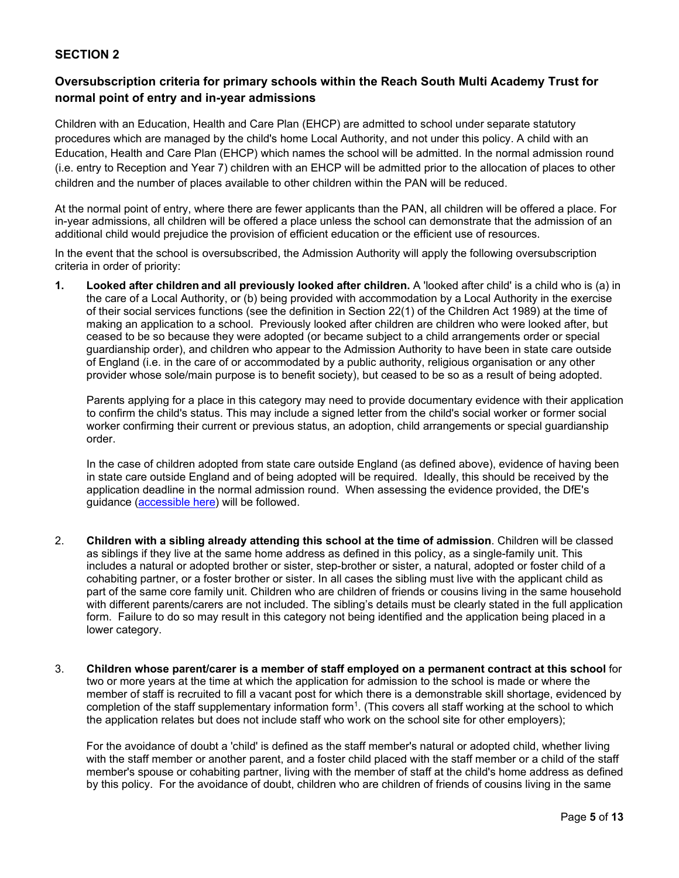#### **SECTION 2**

## **Oversubscription criteria for primary schools within the Reach South Multi Academy Trust for normal point of entry and in-year admissions**

Children with an Education, Health and Care Plan (EHCP) are admitted to school under separate statutory procedures which are managed by the child's home Local Authority, and not under this policy. A child with an Education, Health and Care Plan (EHCP) which names the school will be admitted. In the normal admission round (i.e. entry to Reception and Year 7) children with an EHCP will be admitted prior to the allocation of places to other children and the number of places available to other children within the PAN will be reduced.

At the normal point of entry, where there are fewer applicants than the PAN, all children will be offered a place. For in-year admissions, all children will be offered a place unless the school can demonstrate that the admission of an additional child would prejudice the provision of efficient education or the efficient use of resources.

In the event that the school is oversubscribed, the Admission Authority will apply the following oversubscription criteria in order of priority:

**1. Looked after children and all previously looked after children.** A 'looked after child' is a child who is (a) in the care of a Local Authority, or (b) being provided with accommodation by a Local Authority in the exercise of their social services functions (see the definition in Section 22(1) of the Children Act 1989) at the time of making an application to a school. Previously looked after children are children who were looked after, but ceased to be so because they were adopted (or became subject to a child arrangements order or special guardianship order), and children who appear to the Admission Authority to have been in state care outside of England (i.e. in the care of or accommodated by a public authority, religious organisation or any other provider whose sole/main purpose is to benefit society), but ceased to be so as a result of being adopted.

Parents applying for a place in this category may need to provide documentary evidence with their application to confirm the child's status. This may include a signed letter from the child's social worker or former social worker confirming their current or previous status, an adoption, child arrangements or special guardianship order.

In the case of children adopted from state care outside England (as defined above), evidence of having been in state care outside England and of being adopted will be required. Ideally, this should be received by the application deadline in the normal admission round. When assessing the evidence provided, the DfE's quidance [\(accessible here\)](about:blank) will be followed.

- 2. **Children with a sibling already attending this school at the time of admission**. Children will be classed as siblings if they live at the same home address as defined in this policy, as a single-family unit. This includes a natural or adopted brother or sister, step-brother or sister, a natural, adopted or foster child of a cohabiting partner, or a foster brother or sister. In all cases the sibling must live with the applicant child as part of the same core family unit. Children who are children of friends or cousins living in the same household with different parents/carers are not included. The sibling's details must be clearly stated in the full application form. Failure to do so may result in this category not being identified and the application being placed in a lower category.
- 3. **Children whose parent/carer is a member of staff employed on a permanent contract at this school** for two or more years at the time at which the application for admission to the school is made or where the member of staff is recruited to fill a vacant post for which there is a demonstrable skill shortage, evidenced by completion of the staff supplementary information form<sup>1</sup>. (This covers all staff working at the school to which the application relates but does not include staff who work on the school site for other employers);

For the avoidance of doubt a 'child' is defined as the staff member's natural or adopted child, whether living with the staff member or another parent, and a foster child placed with the staff member or a child of the staff member's spouse or cohabiting partner, living with the member of staff at the child's home address as defined by this policy. For the avoidance of doubt, children who are children of friends of cousins living in the same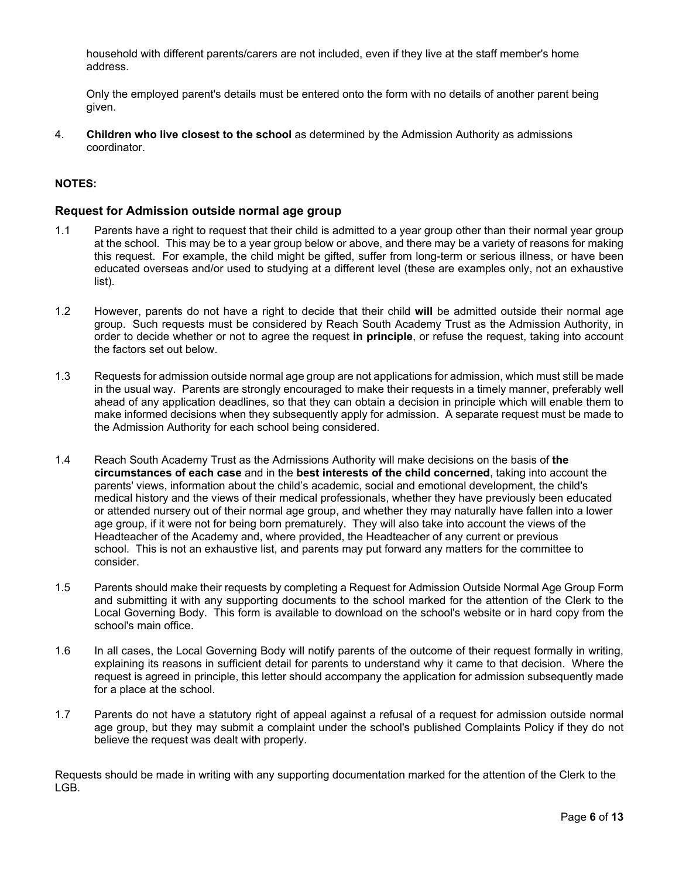household with different parents/carers are not included, even if they live at the staff member's home address.

Only the employed parent's details must be entered onto the form with no details of another parent being given.

4. **Children who live closest to the school** as determined by the Admission Authority as admissions coordinator.

#### **NOTES:**

#### **Request for Admission outside normal age group**

- 1.1 Parents have a right to request that their child is admitted to a year group other than their normal year group at the school. This may be to a year group below or above, and there may be a variety of reasons for making this request. For example, the child might be gifted, suffer from long-term or serious illness, or have been educated overseas and/or used to studying at a different level (these are examples only, not an exhaustive list).
- 1.2 However, parents do not have a right to decide that their child **will** be admitted outside their normal age group. Such requests must be considered by Reach South Academy Trust as the Admission Authority, in order to decide whether or not to agree the request **in principle**, or refuse the request, taking into account the factors set out below.
- 1.3 Requests for admission outside normal age group are not applications for admission, which must still be made in the usual way. Parents are strongly encouraged to make their requests in a timely manner, preferably well ahead of any application deadlines, so that they can obtain a decision in principle which will enable them to make informed decisions when they subsequently apply for admission. A separate request must be made to the Admission Authority for each school being considered.
- 1.4 Reach South Academy Trust as the Admissions Authority will make decisions on the basis of **the circumstances of each case** and in the **best interests of the child concerned**, taking into account the parents' views, information about the child's academic, social and emotional development, the child's medical history and the views of their medical professionals, whether they have previously been educated or attended nursery out of their normal age group, and whether they may naturally have fallen into a lower age group, if it were not for being born prematurely. They will also take into account the views of the Headteacher of the Academy and, where provided, the Headteacher of any current or previous school. This is not an exhaustive list, and parents may put forward any matters for the committee to consider.
- 1.5 Parents should make their requests by completing a Request for Admission Outside Normal Age Group Form and submitting it with any supporting documents to the school marked for the attention of the Clerk to the Local Governing Body. This form is available to download on the school's website or in hard copy from the school's main office.
- 1.6 In all cases, the Local Governing Body will notify parents of the outcome of their request formally in writing, explaining its reasons in sufficient detail for parents to understand why it came to that decision. Where the request is agreed in principle, this letter should accompany the application for admission subsequently made for a place at the school.
- 1.7 Parents do not have a statutory right of appeal against a refusal of a request for admission outside normal age group, but they may submit a complaint under the school's published Complaints Policy if they do not believe the request was dealt with properly.

Requests should be made in writing with any supporting documentation marked for the attention of the Clerk to the LGB.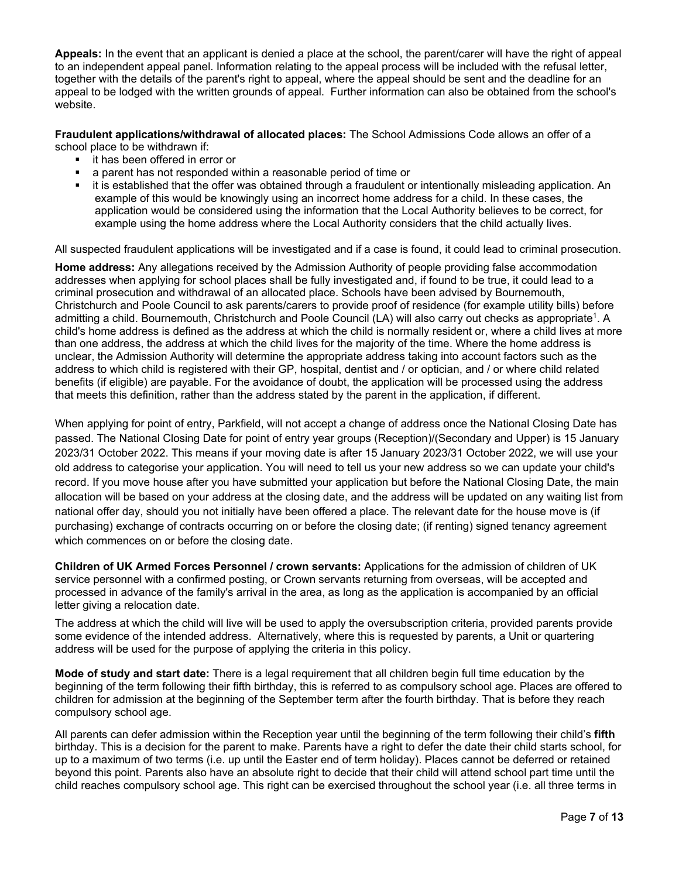**Appeals:** In the event that an applicant is denied a place at the school, the parent/carer will have the right of appeal to an independent appeal panel. Information relating to the appeal process will be included with the refusal letter, together with the details of the parent's right to appeal, where the appeal should be sent and the deadline for an appeal to be lodged with the written grounds of appeal. Further information can also be obtained from the school's website.

**Fraudulent applications/withdrawal of allocated places:** The School Admissions Code allows an offer of a school place to be withdrawn if:

- it has been offered in error or
- a parent has not responded within a reasonable period of time or
- it is established that the offer was obtained through a fraudulent or intentionally misleading application. An example of this would be knowingly using an incorrect home address for a child. In these cases, the application would be considered using the information that the Local Authority believes to be correct, for example using the home address where the Local Authority considers that the child actually lives.

All suspected fraudulent applications will be investigated and if a case is found, it could lead to criminal prosecution.

**Home address:** Any allegations received by the Admission Authority of people providing false accommodation addresses when applying for school places shall be fully investigated and, if found to be true, it could lead to a criminal prosecution and withdrawal of an allocated place. Schools have been advised by Bournemouth, Christchurch and Poole Council to ask parents/carers to provide proof of residence (for example utility bills) before admitting a child. Bournemouth, Christchurch and Poole Council (LA) will also carry out checks as appropriate<sup>1</sup>. A child's home address is defined as the address at which the child is normally resident or, where a child lives at more than one address, the address at which the child lives for the majority of the time. Where the home address is unclear, the Admission Authority will determine the appropriate address taking into account factors such as the address to which child is registered with their GP, hospital, dentist and / or optician, and / or where child related benefits (if eligible) are payable. For the avoidance of doubt, the application will be processed using the address that meets this definition, rather than the address stated by the parent in the application, if different.

When applying for point of entry, Parkfield, will not accept a change of address once the National Closing Date has passed. The National Closing Date for point of entry year groups (Reception)/(Secondary and Upper) is 15 January 2023/31 October 2022. This means if your moving date is after 15 January 2023/31 October 2022, we will use your old address to categorise your application. You will need to tell us your new address so we can update your child's record. If you move house after you have submitted your application but before the National Closing Date, the main allocation will be based on your address at the closing date, and the address will be updated on any waiting list from national offer day, should you not initially have been offered a place. The relevant date for the house move is (if purchasing) exchange of contracts occurring on or before the closing date; (if renting) signed tenancy agreement which commences on or before the closing date.

**Children of UK Armed Forces Personnel / crown servants:** Applications for the admission of children of UK service personnel with a confirmed posting, or Crown servants returning from overseas, will be accepted and processed in advance of the family's arrival in the area, as long as the application is accompanied by an official letter giving a relocation date.

The address at which the child will live will be used to apply the oversubscription criteria, provided parents provide some evidence of the intended address. Alternatively, where this is requested by parents, a Unit or quartering address will be used for the purpose of applying the criteria in this policy.

**Mode of study and start date:** There is a legal requirement that all children begin full time education by the beginning of the term following their fifth birthday, this is referred to as compulsory school age. Places are offered to children for admission at the beginning of the September term after the fourth birthday. That is before they reach compulsory school age.

All parents can defer admission within the Reception year until the beginning of the term following their child's **fifth** birthday. This is a decision for the parent to make. Parents have a right to defer the date their child starts school, for up to a maximum of two terms (i.e. up until the Easter end of term holiday). Places cannot be deferred or retained beyond this point. Parents also have an absolute right to decide that their child will attend school part time until the child reaches compulsory school age. This right can be exercised throughout the school year (i.e. all three terms in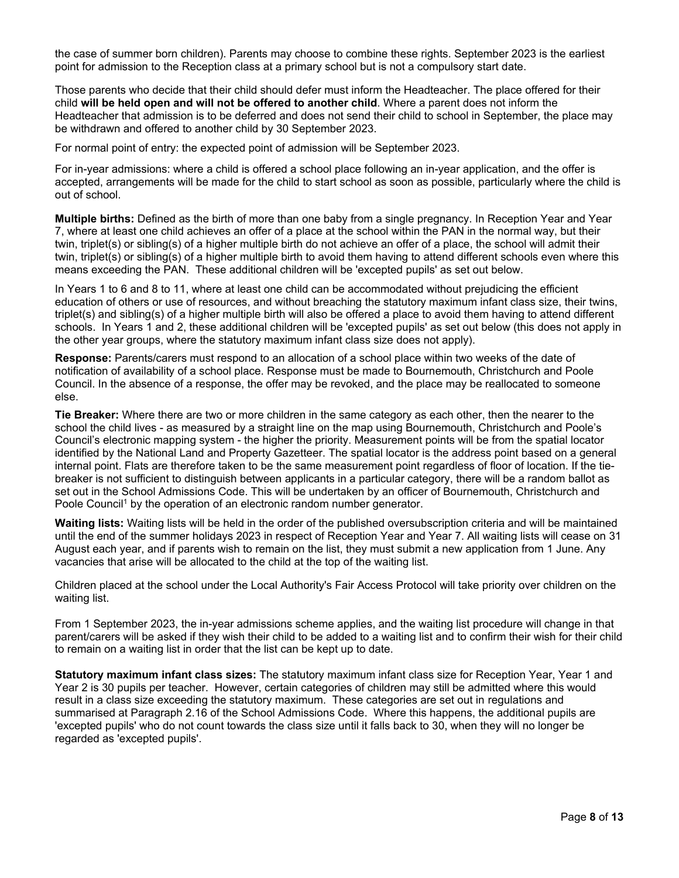the case of summer born children). Parents may choose to combine these rights. September 2023 is the earliest point for admission to the Reception class at a primary school but is not a compulsory start date.

Those parents who decide that their child should defer must inform the Headteacher. The place offered for their child **will be held open and will not be offered to another child**. Where a parent does not inform the Headteacher that admission is to be deferred and does not send their child to school in September, the place may be withdrawn and offered to another child by 30 September 2023.

For normal point of entry: the expected point of admission will be September 2023.

For in-year admissions: where a child is offered a school place following an in-year application, and the offer is accepted, arrangements will be made for the child to start school as soon as possible, particularly where the child is out of school.

**Multiple births:** Defined as the birth of more than one baby from a single pregnancy. In Reception Year and Year 7, where at least one child achieves an offer of a place at the school within the PAN in the normal way, but their twin, triplet(s) or sibling(s) of a higher multiple birth do not achieve an offer of a place, the school will admit their twin, triplet(s) or sibling(s) of a higher multiple birth to avoid them having to attend different schools even where this means exceeding the PAN. These additional children will be 'excepted pupils' as set out below.

In Years 1 to 6 and 8 to 11, where at least one child can be accommodated without prejudicing the efficient education of others or use of resources, and without breaching the statutory maximum infant class size, their twins, triplet(s) and sibling(s) of a higher multiple birth will also be offered a place to avoid them having to attend different schools. In Years 1 and 2, these additional children will be 'excepted pupils' as set out below (this does not apply in the other year groups, where the statutory maximum infant class size does not apply).

**Response:** Parents/carers must respond to an allocation of a school place within two weeks of the date of notification of availability of a school place. Response must be made to Bournemouth, Christchurch and Poole Council. In the absence of a response, the offer may be revoked, and the place may be reallocated to someone else.

**Tie Breaker:** Where there are two or more children in the same category as each other, then the nearer to the school the child lives - as measured by a straight line on the map using Bournemouth, Christchurch and Poole's Council's electronic mapping system - the higher the priority. Measurement points will be from the spatial locator identified by the National Land and Property Gazetteer. The spatial locator is the address point based on a general internal point. Flats are therefore taken to be the same measurement point regardless of floor of location. If the tiebreaker is not sufficient to distinguish between applicants in a particular category, there will be a random ballot as set out in the School Admissions Code. This will be undertaken by an officer of Bournemouth, Christchurch and Poole Council<sup>1</sup> by the operation of an electronic random number generator.

**Waiting lists:** Waiting lists will be held in the order of the published oversubscription criteria and will be maintained until the end of the summer holidays 2023 in respect of Reception Year and Year 7. All waiting lists will cease on 31 August each year, and if parents wish to remain on the list, they must submit a new application from 1 June. Any vacancies that arise will be allocated to the child at the top of the waiting list.

Children placed at the school under the Local Authority's Fair Access Protocol will take priority over children on the waiting list.

From 1 September 2023, the in-year admissions scheme applies, and the waiting list procedure will change in that parent/carers will be asked if they wish their child to be added to a waiting list and to confirm their wish for their child to remain on a waiting list in order that the list can be kept up to date.

**Statutory maximum infant class sizes:** The statutory maximum infant class size for Reception Year, Year 1 and Year 2 is 30 pupils per teacher. However, certain categories of children may still be admitted where this would result in a class size exceeding the statutory maximum. These categories are set out in regulations and summarised at Paragraph 2.16 of the School Admissions Code. Where this happens, the additional pupils are 'excepted pupils' who do not count towards the class size until it falls back to 30, when they will no longer be regarded as 'excepted pupils'.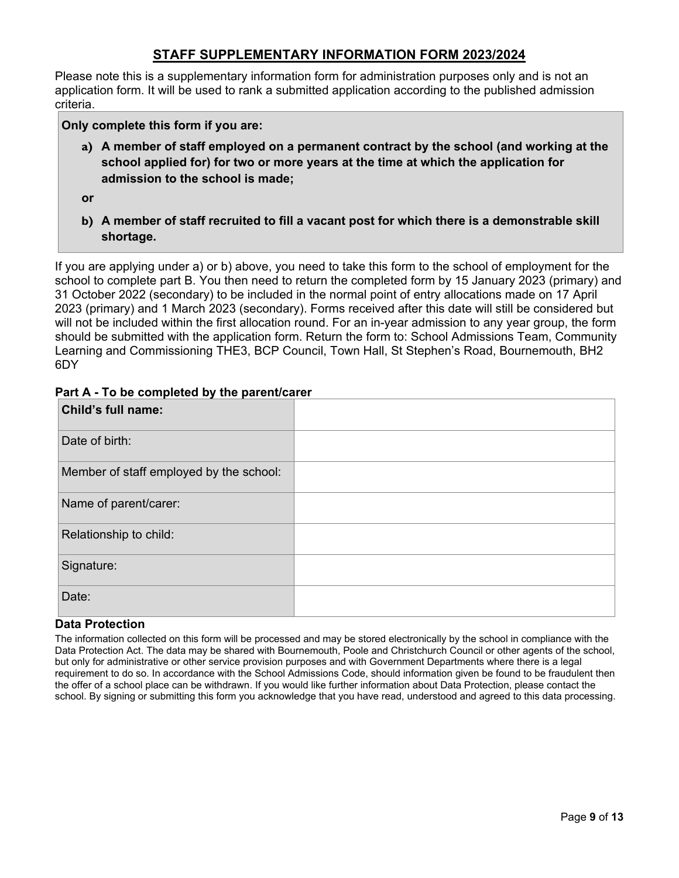## **STAFF SUPPLEMENTARY INFORMATION FORM 2023/2024**

Please note this is a supplementary information form for administration purposes only and is not an application form. It will be used to rank a submitted application according to the published admission criteria.

**Only complete this form if you are:**

**a) A member of staff employed on a permanent contract by the school (and working at the school applied for) for two or more years at the time at which the application for admission to the school is made;**

**or**

**b) A member of staff recruited to fill a vacant post for which there is a demonstrable skill shortage.**

If you are applying under a) or b) above, you need to take this form to the school of employment for the school to complete part B. You then need to return the completed form by 15 January 2023 (primary) and 31 October 2022 (secondary) to be included in the normal point of entry allocations made on 17 April 2023 (primary) and 1 March 2023 (secondary). Forms received after this date will still be considered but will not be included within the first allocation round. For an in-year admission to any year group, the form should be submitted with the application form. Return the form to: School Admissions Team, Community Learning and Commissioning THE3, BCP Council, Town Hall, St Stephen's Road, Bournemouth, BH2 6DY

| Child's full name:                      |  |
|-----------------------------------------|--|
| Date of birth:                          |  |
| Member of staff employed by the school: |  |
| Name of parent/carer:                   |  |
| Relationship to child:                  |  |
| Signature:                              |  |
| Date:                                   |  |

#### **Part A - To be completed by the parent/carer**

#### **Data Protection**

The information collected on this form will be processed and may be stored electronically by the school in compliance with the Data Protection Act. The data may be shared with Bournemouth, Poole and Christchurch Council or other agents of the school, but only for administrative or other service provision purposes and with Government Departments where there is a legal requirement to do so. In accordance with the School Admissions Code, should information given be found to be fraudulent then the offer of a school place can be withdrawn. If you would like further information about Data Protection, please contact the school. By signing or submitting this form you acknowledge that you have read, understood and agreed to this data processing.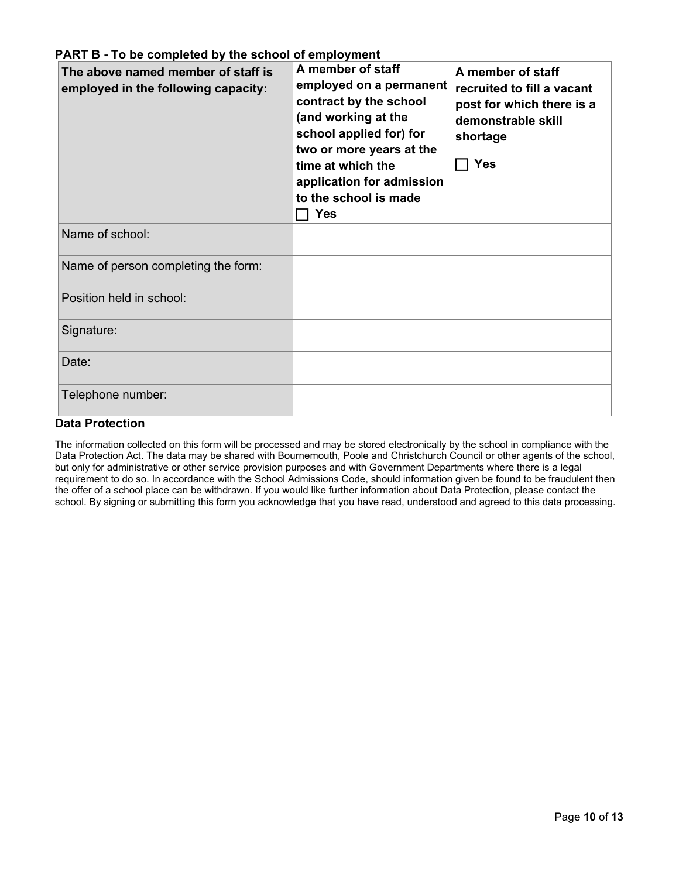| The above named member of staff is<br>employed in the following capacity: | A member of staff<br>employed on a permanent<br>contract by the school<br>(and working at the<br>school applied for) for<br>two or more years at the<br>time at which the<br>application for admission<br>to the school is made<br><b>Yes</b> | A member of staff<br>recruited to fill a vacant<br>post for which there is a<br>demonstrable skill<br>shortage<br><b>Yes</b> |
|---------------------------------------------------------------------------|-----------------------------------------------------------------------------------------------------------------------------------------------------------------------------------------------------------------------------------------------|------------------------------------------------------------------------------------------------------------------------------|
| Name of school:                                                           |                                                                                                                                                                                                                                               |                                                                                                                              |
| Name of person completing the form:                                       |                                                                                                                                                                                                                                               |                                                                                                                              |
| Position held in school:                                                  |                                                                                                                                                                                                                                               |                                                                                                                              |
| Signature:                                                                |                                                                                                                                                                                                                                               |                                                                                                                              |
| Date:                                                                     |                                                                                                                                                                                                                                               |                                                                                                                              |
| Telephone number:                                                         |                                                                                                                                                                                                                                               |                                                                                                                              |

## **Data Protection**

The information collected on this form will be processed and may be stored electronically by the school in compliance with the Data Protection Act. The data may be shared with Bournemouth, Poole and Christchurch Council or other agents of the school, but only for administrative or other service provision purposes and with Government Departments where there is a legal requirement to do so. In accordance with the School Admissions Code, should information given be found to be fraudulent then the offer of a school place can be withdrawn. If you would like further information about Data Protection, please contact the school. By signing or submitting this form you acknowledge that you have read, understood and agreed to this data processing.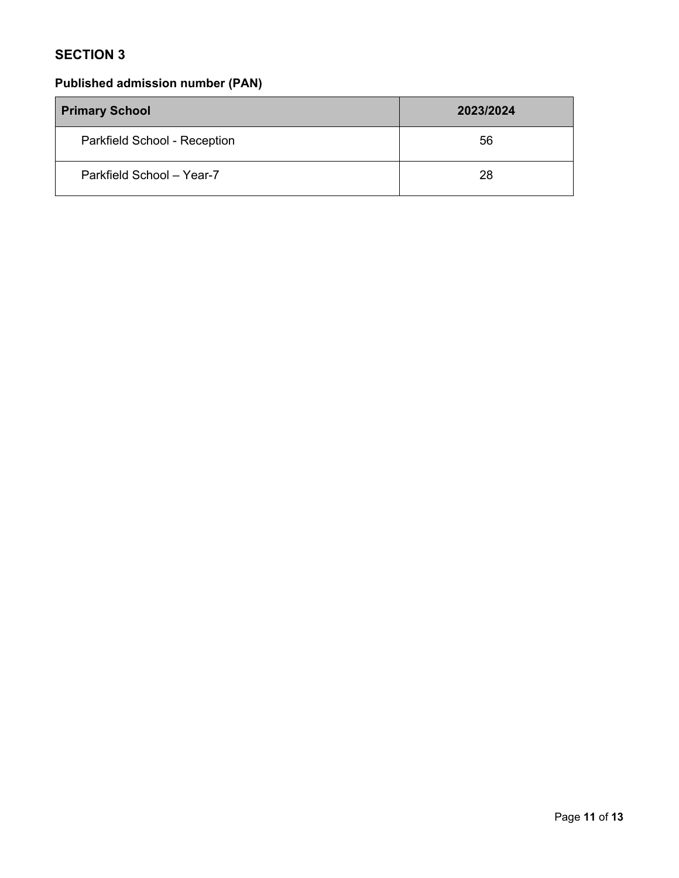## **SECTION 3**

# **Published admission number (PAN)**

| <b>Primary School</b>        | 2023/2024 |
|------------------------------|-----------|
| Parkfield School - Reception | 56        |
| Parkfield School - Year-7    | 28        |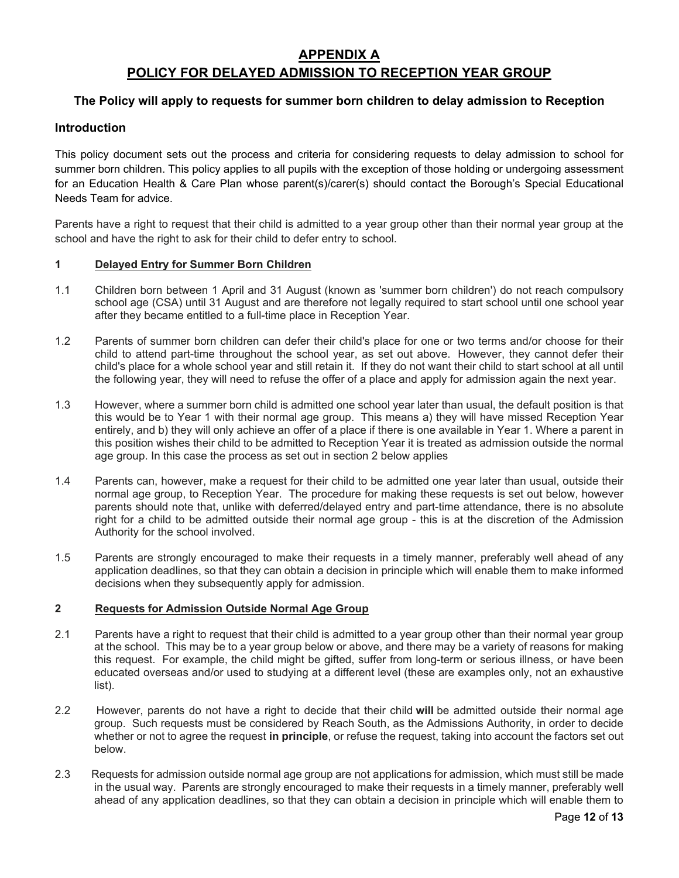## **APPENDIX A POLICY FOR DELAYED ADMISSION TO RECEPTION YEAR GROUP**

#### **The Policy will apply to requests for summer born children to delay admission to Reception**

#### **Introduction**

This policy document sets out the process and criteria for considering requests to delay admission to school for summer born children. This policy applies to all pupils with the exception of those holding or undergoing assessment for an Education Health & Care Plan whose parent(s)/carer(s) should contact the Borough's Special Educational Needs Team for advice.

Parents have a right to request that their child is admitted to a year group other than their normal year group at the school and have the right to ask for their child to defer entry to school.

#### **1 Delayed Entry for Summer Born Children**

- 1.1 Children born between 1 April and 31 August (known as 'summer born children') do not reach compulsory school age (CSA) until 31 August and are therefore not legally required to start school until one school year after they became entitled to a full-time place in Reception Year.
- 1.2 Parents of summer born children can defer their child's place for one or two terms and/or choose for their child to attend part-time throughout the school year, as set out above. However, they cannot defer their child's place for a whole school year and still retain it. If they do not want their child to start school at all until the following year, they will need to refuse the offer of a place and apply for admission again the next year.
- 1.3 However, where a summer born child is admitted one school year later than usual, the default position is that this would be to Year 1 with their normal age group. This means a) they will have missed Reception Year entirely, and b) they will only achieve an offer of a place if there is one available in Year 1. Where a parent in this position wishes their child to be admitted to Reception Year it is treated as admission outside the normal age group. In this case the process as set out in section 2 below applies
- 1.4 Parents can, however, make a request for their child to be admitted one year later than usual, outside their normal age group, to Reception Year. The procedure for making these requests is set out below, however parents should note that, unlike with deferred/delayed entry and part-time attendance, there is no absolute right for a child to be admitted outside their normal age group - this is at the discretion of the Admission Authority for the school involved.
- 1.5 Parents are strongly encouraged to make their requests in a timely manner, preferably well ahead of any application deadlines, so that they can obtain a decision in principle which will enable them to make informed decisions when they subsequently apply for admission.

#### **2 Requests for Admission Outside Normal Age Group**

- 2.1 Parents have a right to request that their child is admitted to a year group other than their normal year group at the school. This may be to a year group below or above, and there may be a variety of reasons for making this request. For example, the child might be gifted, suffer from long-term or serious illness, or have been educated overseas and/or used to studying at a different level (these are examples only, not an exhaustive list).
- 2.2 However, parents do not have a right to decide that their child **will** be admitted outside their normal age group. Such requests must be considered by Reach South, as the Admissions Authority, in order to decide whether or not to agree the request **in principle**, or refuse the request, taking into account the factors set out below.
- 2.3 Requests for admission outside normal age group are not applications for admission, which must still be made in the usual way. Parents are strongly encouraged to make their requests in a timely manner, preferably well ahead of any application deadlines, so that they can obtain a decision in principle which will enable them to